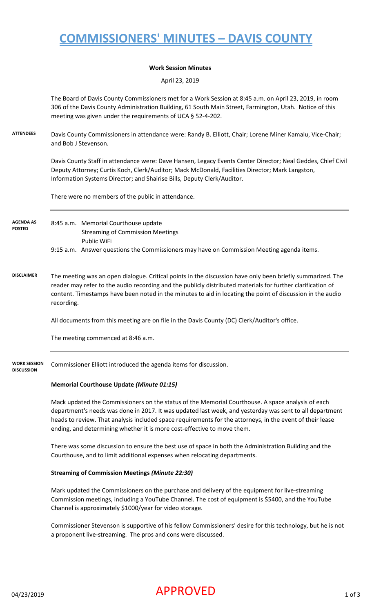## **COMMISSIONERS' MINUTES – DAVIS COUNTY**

#### **Work Session Minutes**

April 23, 2019

The Board of Davis County Commissioners met for a Work Session at 8:45 a.m. on April 23, 2019, in room 306 of the Davis County Administration Building, 61 South Main Street, Farmington, Utah. Notice of this meeting was given under the requirements of UCA § 52-4-202.

**ATTENDEES** Davis County Commissioners in attendance were: Randy B. Elliott, Chair; Lorene Miner Kamalu, Vice-Chair; and Bob J Stevenson.

> Davis County Staff in attendance were: Dave Hansen, Legacy Events Center Director; Neal Geddes, Chief Civil Deputy Attorney; Curtis Koch, Clerk/Auditor; Mack McDonald, Facilities Director; Mark Langston, Information Systems Director; and Shairise Bills, Deputy Clerk/Auditor.

There were no members of the public in attendance.

#### 8:45 a.m. Memorial Courthouse update Streaming of Commission Meetings Public WiFi 9:15 a.m. Answer questions the Commissioners may have on Commission Meeting agenda items. **AGENDA AS POSTED**

**DISCLAIMER** The meeting was an open dialogue. Critical points in the discussion have only been briefly summarized. The reader may refer to the audio recording and the publicly distributed materials for further clarification of content. Timestamps have been noted in the minutes to aid in locating the point of discussion in the audio recording.

All documents from this meeting are on file in the Davis County (DC) Clerk/Auditor's office.

The meeting commenced at 8:46 a.m.

**WORK SESSION**  Commissioner Elliott introduced the agenda items for discussion.

### **DISCUSSION**

#### **Memorial Courthouse Update** *(Minute 01:15)*

Mack updated the Commissioners on the status of the Memorial Courthouse. A space analysis of each department's needs was done in 2017. It was updated last week, and yesterday was sent to all department heads to review. That analysis included space requirements for the attorneys, in the event of their lease ending, and determining whether it is more cost-effective to move them.

There was some discussion to ensure the best use of space in both the Administration Building and the Courthouse, and to limit additional expenses when relocating departments.

#### **Streaming of Commission Meetings** *(Minute 22:30)*

Mark updated the Commissioners on the purchase and delivery of the equipment for live-streaming Commission meetings, including a YouTube Channel. The cost of equipment is \$5400, and the YouTube Channel is approximately \$1000/year for video storage.

Commissioner Stevenson is supportive of his fellow Commissioners' desire for this technology, but he is not a proponent live-streaming. The pros and cons were discussed.

### $04/23/2019$   $\blacksquare$   $\blacksquare$   $\blacksquare$   $\blacksquare$   $\blacksquare$   $\blacksquare$   $\blacksquare$   $\blacksquare$   $\blacksquare$   $\blacksquare$   $\blacksquare$   $\blacksquare$   $\blacksquare$   $\blacksquare$   $\blacksquare$   $\blacksquare$   $\blacksquare$   $\blacksquare$   $\blacksquare$   $\blacksquare$   $\blacksquare$   $\blacksquare$   $\blacksquare$   $\blacksquare$   $\blacksquare$   $\blacksquare$   $\blacksquare$   $\blacksquare$   $\blacksquare$   $\blacksquare$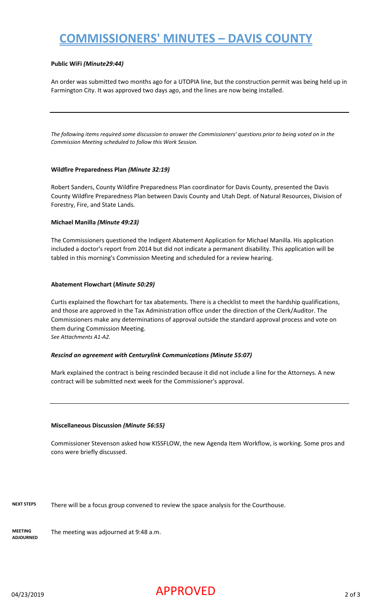# **COMMISSIONERS' MINUTES – DAVIS COUNTY**

#### **Public WiFi** *(Minute29:44)*

An order was submitted two months ago for a UTOPIA line, but the construction permit was being held up in Farmington City. It was approved two days ago, and the lines are now being installed.

*The following items required some discussion to answer the Commissioners' questions prior to being voted on in the Commission Meeting scheduled to follow this Work Session.*

#### **Wildfire Preparedness Plan** *(Minute 32:19)*

Robert Sanders, County Wildfire Preparedness Plan coordinator for Davis County, presented the Davis County Wildfire Preparedness Plan between Davis County and Utah Dept. of Natural Resources, Division of Forestry, Fire, and State Lands.

#### **Michael Manilla** *(Minute 49:23)*

The Commissioners questioned the Indigent Abatement Application for Michael Manilla. His application included a doctor's report from 2014 but did not indicate a permanent disability. This application will be tabled in this morning's Commission Meeting and scheduled for a review hearing.

#### **Abatement Flowchart (***Minute 50:29)*

Curtis explained the flowchart for tax abatements. There is a checklist to meet the hardship qualifications, and those are approved in the Tax Administration office under the direction of the Clerk/Auditor. The Commissioners make any determinations of approval outside the standard approval process and vote on them during Commission Meeting.

*See Attachments A1-A2.*

#### *Rescind an agreement with Centurylink Communications (Minute 55:07)*

Mark explained the contract is being rescinded because it did not include a line for the Attorneys. A new contract will be submitted next week for the Commissioner's approval.

#### **Miscellaneous Discussion** *(Minute 56:55)*

Commissioner Stevenson asked how KISSFLOW, the new Agenda Item Workflow, is working. Some pros and cons were briefly discussed.

**NEXT STEPS** There will be a focus group convened to review the space analysis for the Courthouse.

**MEETING ADJOURNED** The meeting was adjourned at 9:48 a.m.

### $04/23/2019$   $\blacksquare$   $\blacksquare$   $\blacksquare$   $\blacksquare$   $\blacksquare$   $\blacksquare$   $\blacksquare$   $\blacksquare$   $\blacksquare$   $\blacksquare$   $\blacksquare$   $\blacksquare$   $\blacksquare$   $\blacksquare$   $\blacksquare$   $\blacksquare$   $\blacksquare$   $\blacksquare$   $\blacksquare$   $\blacksquare$   $\blacksquare$   $\blacksquare$   $\blacksquare$   $\blacksquare$   $\blacksquare$   $\blacksquare$   $\blacksquare$   $\blacksquare$   $\blacksquare$   $\blacksquare$